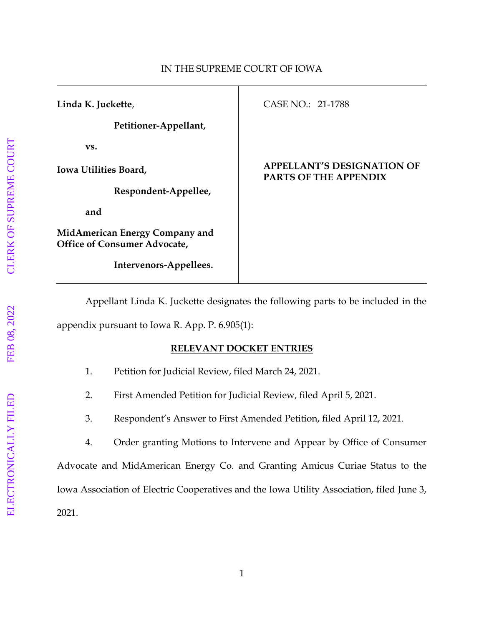| Linda K. Juckette,                                                    | CASE NO.: 21-1788                                                 |
|-----------------------------------------------------------------------|-------------------------------------------------------------------|
| Petitioner-Appellant,                                                 |                                                                   |
| VS.                                                                   |                                                                   |
| Iowa Utilities Board,                                                 | <b>APPELLANT'S DESIGNATION OF</b><br><b>PARTS OF THE APPENDIX</b> |
| Respondent-Appellee,                                                  |                                                                   |
| and                                                                   |                                                                   |
| MidAmerican Energy Company and<br><b>Office of Consumer Advocate,</b> |                                                                   |
| Intervenors-Appellees.                                                |                                                                   |

Appellant Linda K. Juckette designates the following parts to be included in the appendix pursuant to Iowa R. App. P. 6.905(1):

## **RELEVANT DOCKET ENTRIES**

- 1. Petition for Judicial Review, filed March 24, 2021.
- 2. First Amended Petition for Judicial Review, filed April 5, 2021.
- 3. Respondent's Answer to First Amended Petition, filed April 12, 2021.
- 4. Order granting Motions to Intervene and Appear by Office of Consumer

Advocate and MidAmerican Energy Co. and Granting Amicus Curiae Status to the Iowa Association of Electric Cooperatives and the Iowa Utility Association, filed June 3, 2021.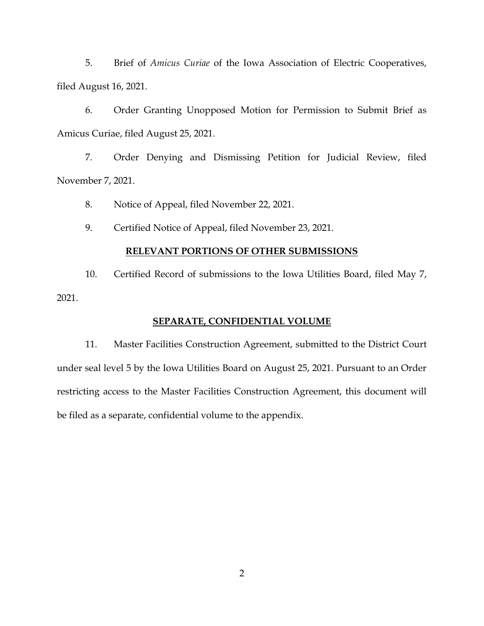5. Brief of *Amicus Curiae* of the Iowa Association of Electric Cooperatives, filed August 16, 2021.

6. Order Granting Unopposed Motion for Permission to Submit Brief as Amicus Curiae, filed August 25, 2021.

7. Order Denying and Dismissing Petition for Judicial Review, filed November 7, 2021.

8. Notice of Appeal, filed November 22, 2021.

9. Certified Notice of Appeal, filed November 23, 2021.

## **RELEVANT PORTIONS OF OTHER SUBMISSIONS**

10. Certified Record of submissions to the Iowa Utilities Board, filed May 7, 2021.

## **SEPARATE, CONFIDENTIAL VOLUME**

11. Master Facilities Construction Agreement, submitted to the District Court under seal level 5 by the Iowa Utilities Board on August 25, 2021. Pursuant to an Order restricting access to the Master Facilities Construction Agreement, this document will be filed as a separate, confidential volume to the appendix.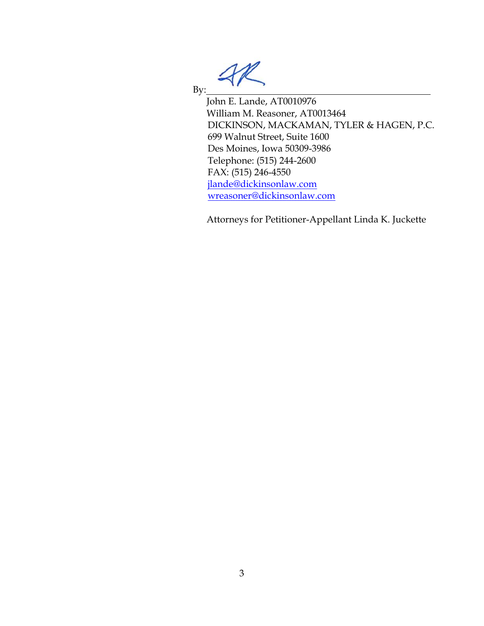By: John E. Lande, AT0010976 William M. Reasoner, AT0013464 DICKINSON, MACKAMAN, TYLER & HAGEN, P.C. 699 Walnut Street, Suite 1600 Des Moines, Iowa 50309-3986 Telephone: (515) 244-2600 FAX: (515) 246-4550 [jlande@dickinsonlaw.com](mailto:jlande@dickinsonlaw.com) [wreasoner@dickinsonlaw.com](mailto:wreasoner@dickinsonlaw.com)

Attorneys for Petitioner-Appellant Linda K. Juckette